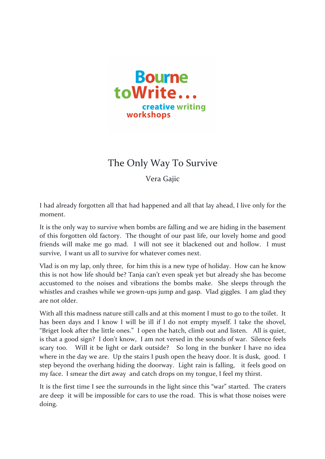

## The Only Way To Survive

Vera Gajic

I had already forgotten all that had happened and all that lay ahead, I live only for the moment.

It is the only way to survive when bombs are falling and we are hiding in the basement of this forgotten old factory. The thought of our past life, our lovely home and good friends will make me go mad. I will not see it blackened out and hollow. I must survive, I want us all to survive for whatever comes next.

Vlad is on my lap, only three, for him this is a new type of holiday. How can he know this is not how life should be? Tanja can't even speak yet but already she has become accustomed to the noises and vibrations the bombs make. She sleeps through the whistles and crashes while we grown-ups jump and gasp. Vlad giggles. I am glad they are not older

With all this madness nature still calls and at this moment I must to go to the toilet. It has been days and I know I will be ill if I do not empty myself. I take the shovel, "Briget look after the little ones." I open the hatch, climb out and listen. All is quiet, is that a good sign? I don't know, I am not versed in the sounds of war. Silence feels scary too. Will it be light or dark outside? So long in the bunker I have no idea where in the day we are. Up the stairs I push open the heavy door. It is dusk, good. I step beyond the overhang hiding the doorway. Light rain is falling, it feels good on my face. I smear the dirt away and catch drops on my tongue, I feel my thirst.

It is the first time I see the surrounds in the light since this "war" started. The craters are deep it will be impossible for cars to use the road. This is what those noises were doing.